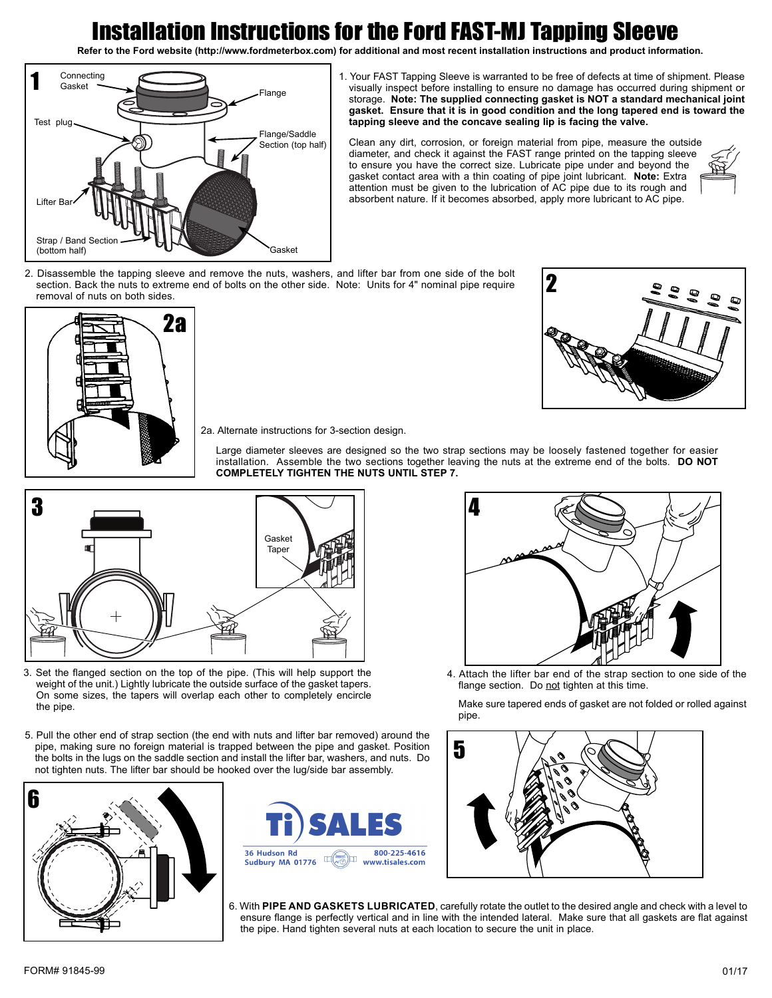## Installation Instructions for the Ford FAST-MJ Tapping Sleeve

**Refer to the Ford website (http://www.fordmeterbox.com) for additional and most recent installation instructions and product information.**



1. Your FAST Tapping Sleeve is warranted to be free of defects at time of shipment. Please visually inspect before installing to ensure no damage has occurred during shipment or storage. **Note: The supplied connecting gasket is NOT a standard mechanical joint gasket. Ensure that it is in good condition and the long tapered end is toward the tapping sleeve and the concave sealing lip is facing the valve.**

Clean any dirt, corrosion, or foreign material from pipe, measure the outside diameter, and check it against the FAST range printed on the tapping sleeve to ensure you have the correct size. Lubricate pipe under and beyond the gasket contact area with a thin coating of pipe joint lubricant. **Note:** Extra attention must be given to the lubrication of AC pipe due to its rough and absorbent nature. If it becomes absorbed, apply more lubricant to AC pipe.



2. Disassemble the tapping sleeve and remove the nuts, washers, and lifter bar from one side of the bolt section. Back the nuts to extreme end of bolts on the other side. Note: Units for 4" nominal pipe require removal of nuts on both sides.





2a. Alternate instructions for 3-section design.

Large diameter sleeves are designed so the two strap sections may be loosely fastened together for easier installation. Assemble the two sections together leaving the nuts at the extreme end of the bolts. **DO NOT COMPLETELY TIGHTEN THE NUTS UNTIL STEP 7.**



- 3. Set the flanged section on the top of the pipe. (This will help support the weight of the unit.) Lightly lubricate the outside surface of the gasket tapers. On some sizes, the tapers will overlap each other to completely encircle the pipe.
- 5. Pull the other end of strap section (the end with nuts and lifter bar removed) around the pipe, making sure no foreign material is trapped between the pipe and gasket. Position the bolts in the lugs on the saddle section and install the lifter bar, washers, and nuts. Do not tighten nuts. The lifter bar should be hooked over the lug/side bar assembly.







4. Attach the lifter bar end of the strap section to one side of the flange section. Do not tighten at this time.

Make sure tapered ends of gasket are not folded or rolled against pipe.



6. With **PIPE AND GASKETS LUBRICATED**, carefully rotate the outlet to the desired angle and check with a level to ensure flange is perfectly vertical and in line with the intended lateral. Make sure that all gaskets are flat against the pipe. Hand tighten several nuts at each location to secure the unit in place.